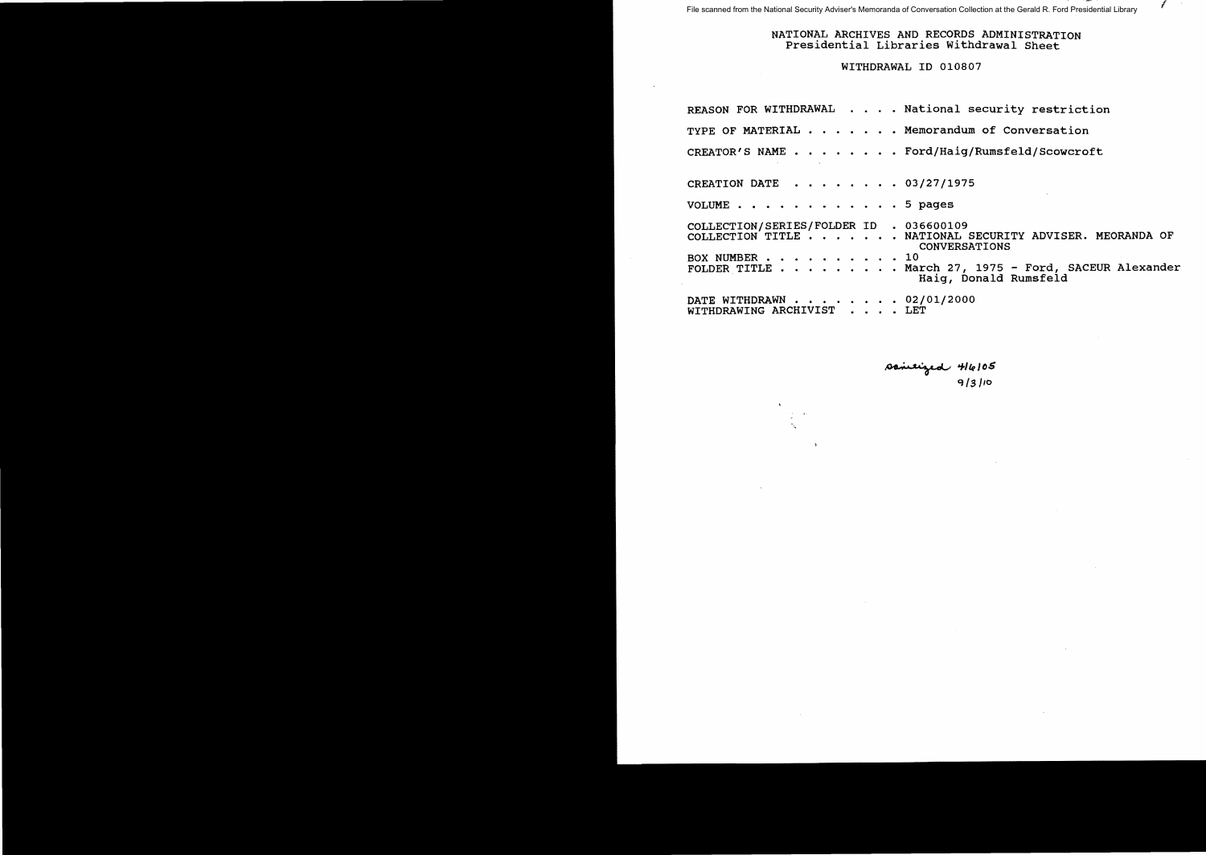File scanned from the National Security Adviser's Memoranda of Conversation Collection at the Gerald R. Ford Presidential Library

NATIONAL ARCHIVES AND RECORDS ADMINISTRATION Presidential Libraries Withdrawal Sheet

I

WITHDRAWAL ID 010807

|                                                          |  |  |  | REASON FOR WITHDRAWAL National security restriction                                                                                     |
|----------------------------------------------------------|--|--|--|-----------------------------------------------------------------------------------------------------------------------------------------|
|                                                          |  |  |  | TYPE OF MATERIAL Memorandum of Conversation                                                                                             |
|                                                          |  |  |  | CREATOR'S NAME Ford/Haig/Rumsfeld/Scowcroft                                                                                             |
|                                                          |  |  |  | CREATION DATE 03/27/1975                                                                                                                |
| VOLUME 5 pages                                           |  |  |  |                                                                                                                                         |
| COLLECTION/SERIES/FOLDER ID . 036600109<br>BOX NUMBER 10 |  |  |  | COLLECTION TITLE NATIONAL SECURITY ADVISER. MEORANDA OF<br><b>CONVERSATIONS</b><br>FOLDER TITLE March 27, 1975 - Ford, SACEUR Alexander |
| WITHDRAWING ARCHIVIST LET                                |  |  |  | Haig, Donald Rumsfeld<br>DATE WITHDRAWN 02/01/2000                                                                                      |

 $T$  $q$ q Is */10*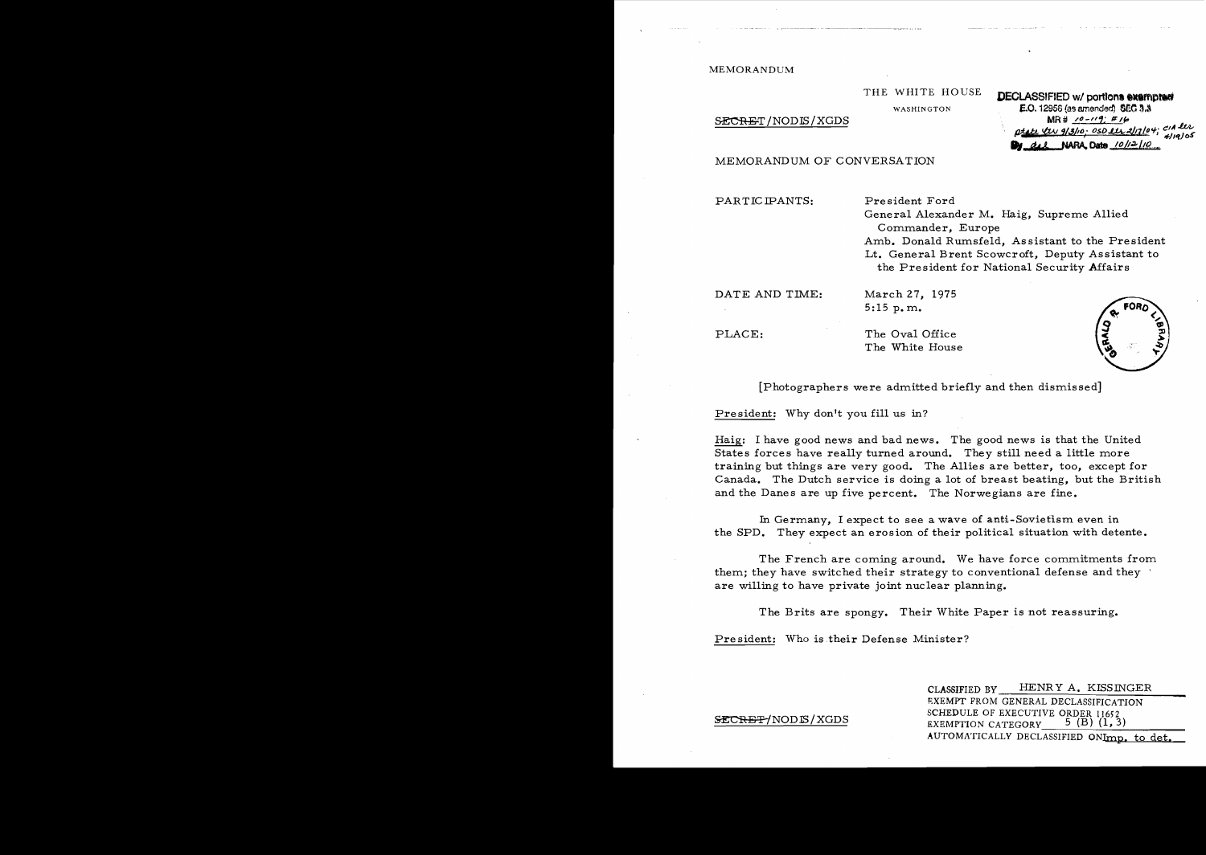MEMORANDUM

THE WHITE HOUSE **DECLASSIFIED wI portIon....mptM**  WASHINGTON **F.O. 12958 (as amended) SECRET** / NOD IS / XGDS WASHINGTON **F.O. 12958 (as amended) SEC 3.3** ptate tw 9/3/10; OSD <u>lly 2/17/04;</u> con 200 otel tw 9/3/10; OSD 112 2/17/04;<br>Dy del NAFA Date 10/12/10

MEMORANDUM OF CONVERSATION

PARTICIPANTS: President Ford

General Alexander M. Haig, Supreme Allied Commander, Europe Amb. Donald Rumsfeld, Assistant to the President Lt. General Brent Scowcroft, Deputy Assistant to the President for National Security Affairs

DATE AND TIME: March 27, 1975 5:15 p.m.

PLACE: The Oval Office The White House



[Photographers were admitted briefly and then dismissed]

President: Why don't you fill us in?

Haig: I have good news and bad news. The good news is that the United States forces have really turned around. They still need a little more training but things are very good. The Allies are better, too, except for Canada. The Dutch service is doing a lot of breast beating, but the British and the Danes are up five percent. The Norwegians are fine.

In Germany, I expect to see a wave of anti-Sovietism even in the SPD. They expect an erosion of their political situation with detente.

The French are coming around. We have force commitments from them; they have switched their strategy to conventional defense and they  $\triangle$ are willing to have private joint nuclear planning.

The Brits are spongy. Their White Paper is not reassuring.

President: Who is their Defense Minister?

CLASSIFIED BY HENRY A. KISSINGER EXEMPT FROM GENERAL DECLASSIFICATION SCHEDULE OF EXECUTIVE ORDER 11652 ~NODJS/XGDS EXEMPTION CATEGORY 5 (B) (1,3) AUTOMATICALLY DECLASSIFIED ONImp. to det.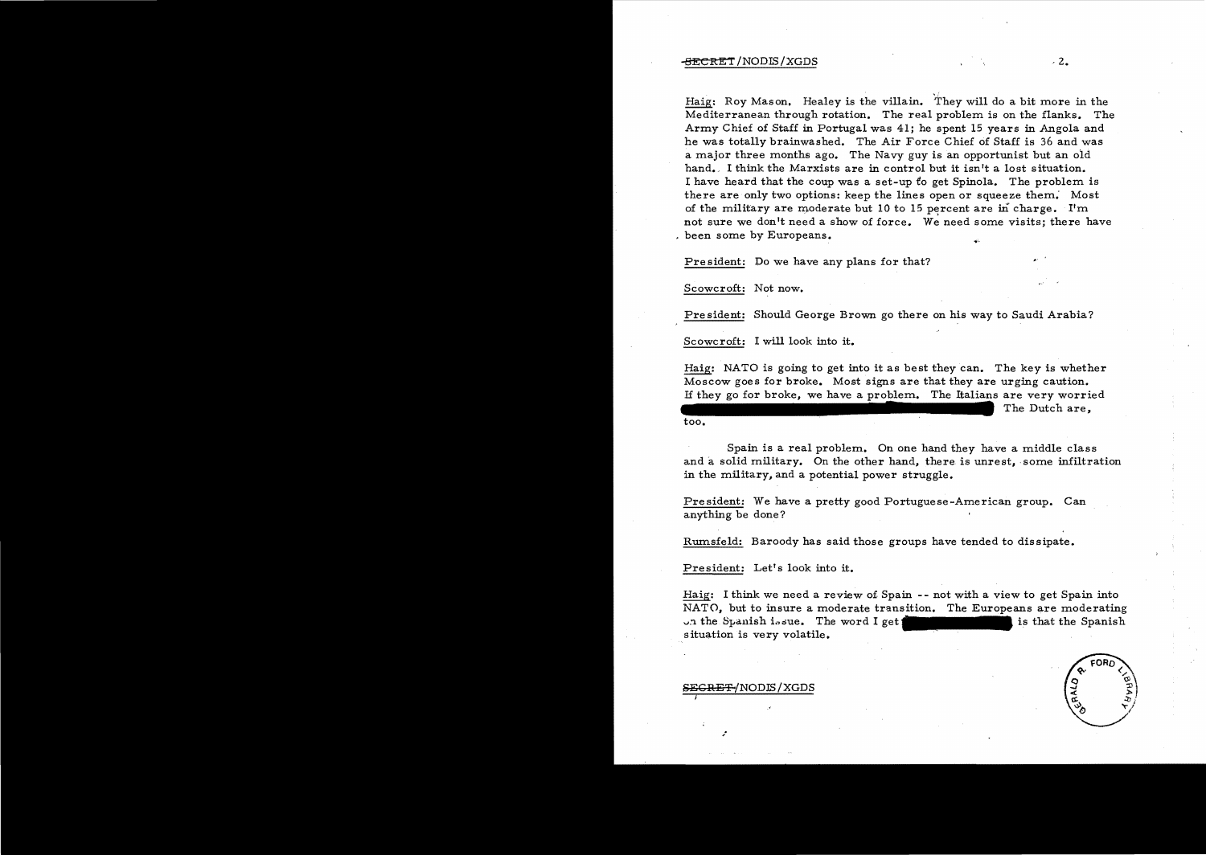## $-$ <del>SECRE</del>T/NODIS/XGDS  $\sim$  2.

,: Haig: Roy Mason. Healey is the villain. They will do a bit more in the Mediterranean through rotation. The real problem is on the flanks. The Army Chief of Staff in Portugal was 41; he spent 15 years in Angola and he was totally brainwashed. The Air Force Chief of Staff is 36 and was a major three months ago. The Navy guy is an opportunist but an old hand. I think the Marxists are in control but it isn't a lost situation. I have heard that the coup was a set-up to get Spinola. The problem is there are only two options: keep the lines open or squeeze them; Most of the military are moderate but 10 to 15 percent are in charge. I'm not sure we don't need a show of force. We need some visits; there have , been some by Europeans.

President: Do we have any plans for that?

Scowcroft: Not now.

Pre sident: Should George Brown go there on his way to Saudi Arabia?

Scowcroft: I will look into it.

Haig: NATO is going to get into it as best they can. The key is whether Moscow goes for broke. Most signs are that they are urging caution. If they go for broke, we have a problem. The Italians are very worried The Dutch are, too.

Spain is a real problem. On one hand they have a middle class and a solid military. On the other hand, there is unrest, some infiltration in the military, and a potential power struggle.

President: We have a pretty good Portuguese-American group. Can anything be done?

Rmnsfeld: Baroody has said those groups have tended to dissipate.

President: Let's look into it.

Haig: I think we need a review o£ Spain - - not with a view to get Spain into NATO, but to insure a moderate transition. The Europeans are moderating ......'1. the S:pallish i..,due. The word I get is that the Spanish situation is very volatile.

#### <del>EGRET/</del>NODIS/XGDS

,.

I

.'

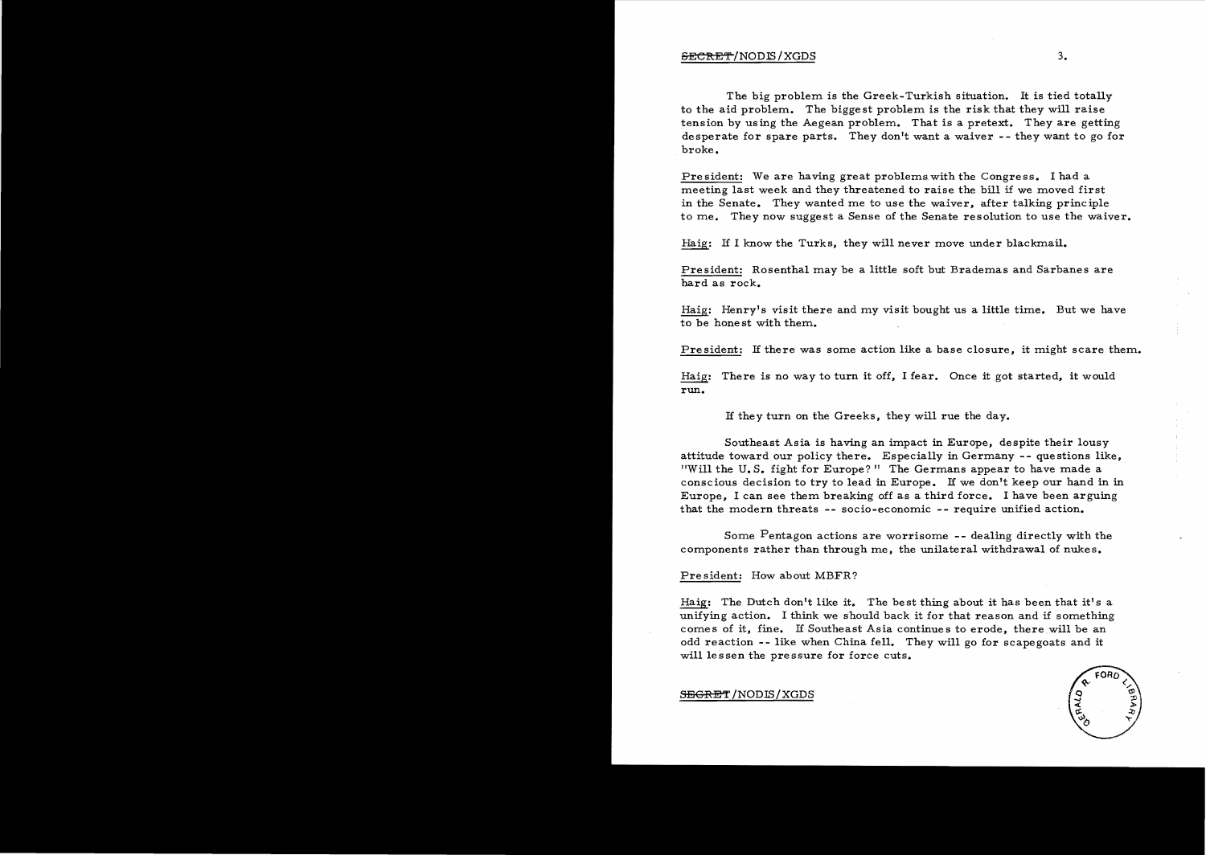The big problem is the Greek-Turkish situation. It is tied totally to the aid problem. The bigge st problem is the risk that they will raise tension by using the Aegean problem. That is a pretext. They are getting desperate for spare parts. They don't want a waiver -- they want to go for broke.

President: We are having great problems with the Congress. I had a meeting last week and they threatened to raise the bill if we moved first in the Senate. They wanted me to use the waiver, after talking principle to me. They now suggest a Sense of the Senate resolution to use the waiver.

Haig: If I know the Turks, they will never move under blackmail.

President: Rosenthal may be a little soft but Brademas and Sarbanes are hard as rock.

Haig: Henry's visit there and my visit bought us a little time. But we have to be honest with them.

President: If there was some action like a base closure, it might scare them.

Haig: There is no way to turn it off, I fear. Once it got started, it would run.

1£ they turn On the Greeks, they will rue the day.

Southeast Asia is having an impact in Europe, despite their lousy attitude toward our policy there. Especially in Germany -- questions like, "Will the U. S. fight for Europe?" The Germans appear to have made a conscious decision to try to lead in Europe. 1£ we don't keep our hand in in Europe, I can see them breaking off as a third force. I have been arguing that the modern threats -- socio-economic -- require unified action.

Some Pentagon actions are worrisome -- dealing directly with the components rather than through me, the unilateral withdrawal of nukes.

#### President: How about MBFR?

Haig: The Dutch don't like it. The best thing about it has been that it's a unifying action. I think we should back it for that reason and if something comes of it, fine. 1£ Southeast Asia continues to erode, there will be an odd reaction -- like when China fell. They will go for scapegoats and it will lessen the pressure for force cuts.



SEGRET/NODIS/XGDS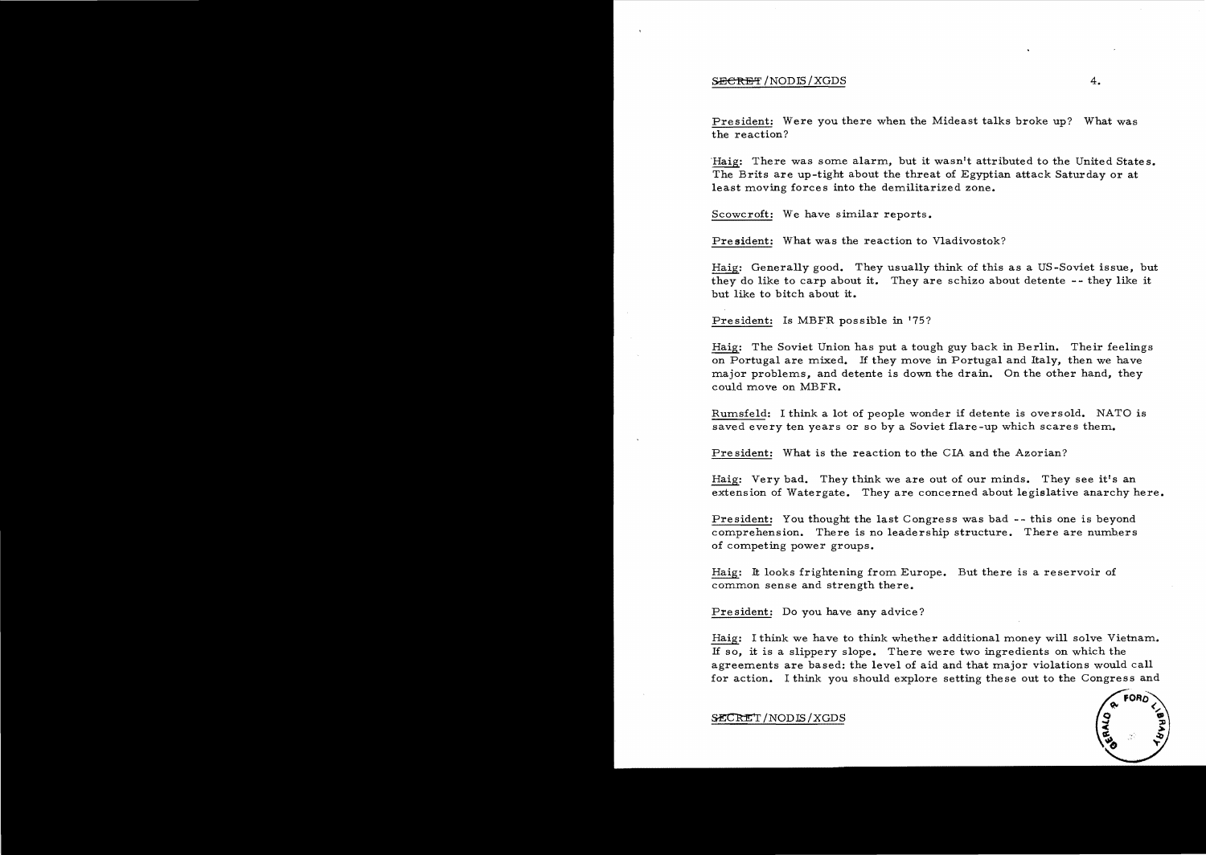#### $S$ ECRET/NODIS/XGDS 4.

President: Were you there when the Mideast talks broke up? What was the reaction?

Haig: There was some alarm, but it wasn't attributed to the United States. The Brits are up-tight about the threat of Egyptian attack Saturday or at least moving forces into the demilitarized zone.

Scowcroft: We have similar reports.

President: What was the reaction to Vladivostok?

Haig: Generally good. They usually think of this as a US-Soviet issue, but they do like to carp about it. They are schizo about detente -- they like it but like to bitch about it.

President: Is MBFR possible in 175?

Haig: The Soviet Union has put a tough guy back in Berlin. Their feelings on Portugal are mixed. If they move in Portugal and Italy, then we have major problems, and detente is down the drain. On the other hand, they could move on MBFR.

Rumsfeld: I think a lot of people wonder if detente is oversold. NATO is saved every ten years or so by a Soviet flare-up which scares them..

President: What is the reaction to the CIA and the Azorian?

Haig: Very bad. They think we are out of our minds. They see it's an extension of Watergate. They are concerned about legislative anarchy here.

President: You thought the last Congress was bad -- this one is beyond comprehension. There is no leadership structure. There are numbers of competing power groups.

Haig: It looks frightening from Europe. But there is a reservoir of common sense and strength there.

President: Do you have any advice?

Haig: I think we have to think whether additional money will solve Vietnam. If so, it is a slippery slope. There were two ingredients on which the agreements are based: the level of aid and that major violations would call for action. I think you should explore setting these out to the Congress and



 $\texttt{SECRET} / \text{NODIS} / \text{XGDS}$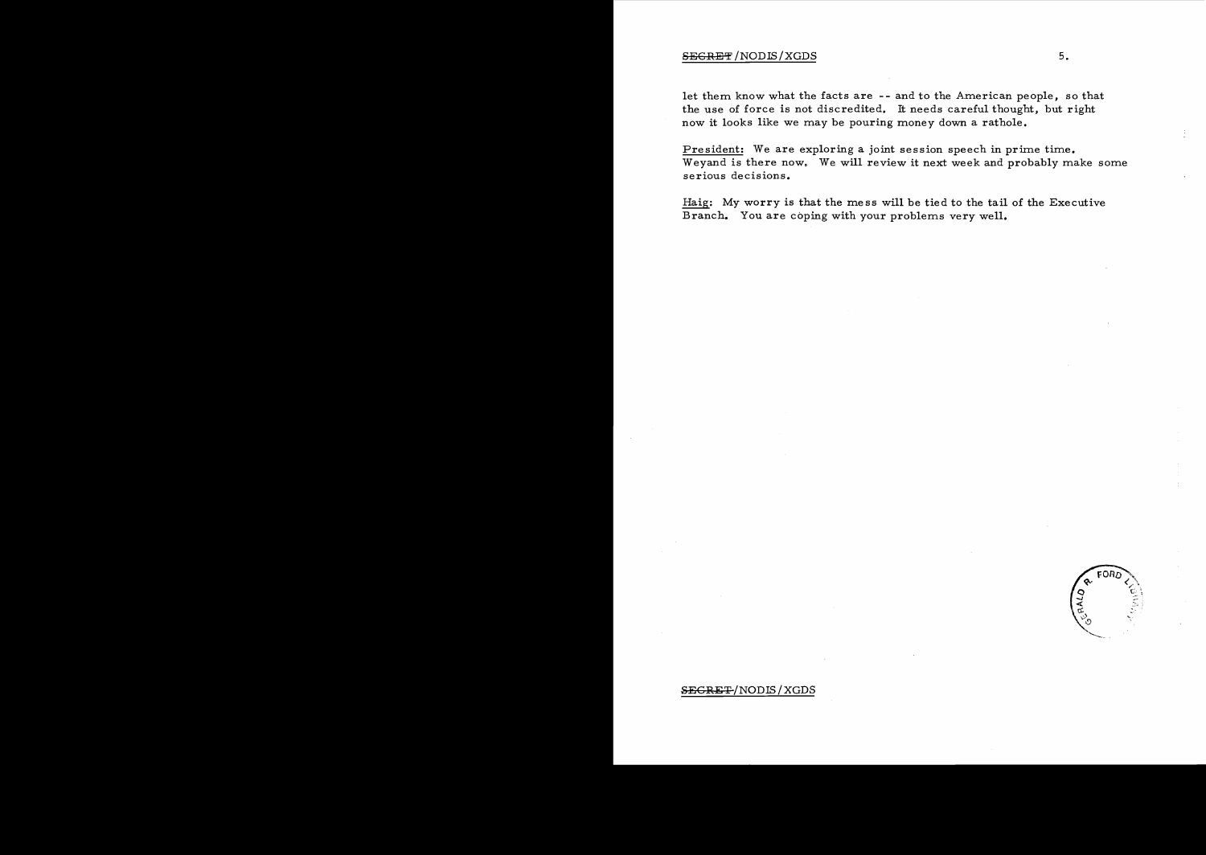#### $S \to \text{S} \to \text{S}$  ,  $\text{S} \to \text{S}$  ,  $\text{S} \to \text{S}$  ,  $\text{S} \to \text{S}$  ,  $\text{S} \to \text{S}$  ,  $\text{S} \to \text{S}$  ,  $\text{S} \to \text{S}$  ,  $\text{S} \to \text{S}$  ,  $\text{S} \to \text{S}$  ,  $\text{S} \to \text{S}$  ,  $\text{S} \to \text{S}$  ,  $\text{S} \to \text{S}$  ,  $\text{S} \to \text{S}$

let them know what the facts are -- and to the American people, so that the use of force is not discredited. It needs careful thought, but right now it looks like we may be pouring money down a rathole.

President: We are exploring a joint session speech in prime time. Weyand is there now. We will review it next week and probably make some serious decisions.

Haig: My worry is that the mess will be tied to the tail of the Executive Branch. You are coping with your problems very well.

FORC

## SEGRET/NODIS/XGDS